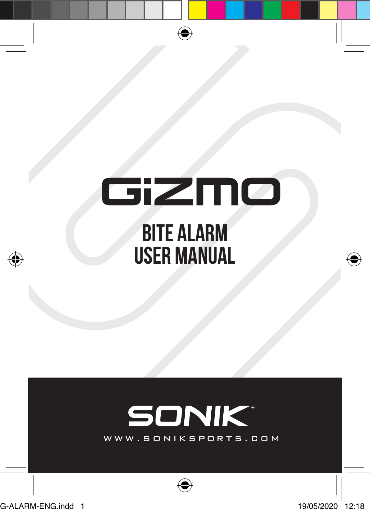# GiZMO **BITE ALARM USER MANUAL**

⊕

# **SONIK®**

WWW.SONIKSPORTS.COM

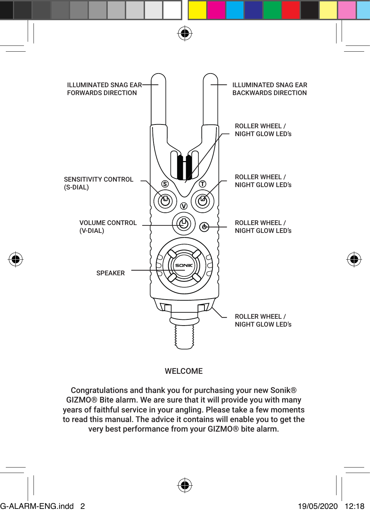

# WELCOME

Congratulations and thank you for purchasing your new Sonik® GIZMO® Bite alarm. We are sure that it will provide you with many years of faithful service in your angling. Please take a few moments to read this manual. The advice it contains will enable you to get the very best performance from your GIZMO® bite alarm.

G-ALARM-ENG.indd 2 19/05/2020 12:18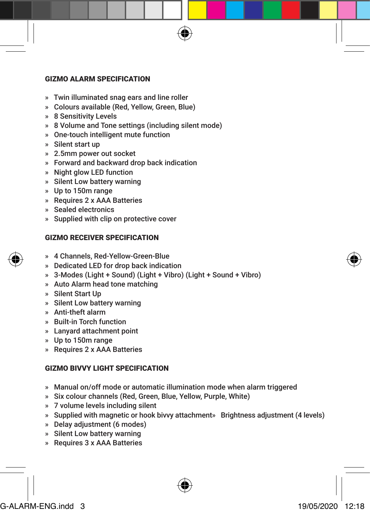# GIZMO ALARM SPECIFICATION

- » Twin illuminated snag ears and line roller
- » Colours available (Red, Yellow, Green, Blue)
- » 8 Sensitivity Levels
- » 8 Volume and Tone settings (including silent mode)
- » One-touch intelligent mute function
- » Silent start up
- » 2.5mm power out socket
- » Forward and backward drop back indication
- » Night glow LED function
- » Silent Low battery warning
- » Up to 150m range
- » Requires 2 x AAA Batteries
- » Sealed electronics
- » Supplied with clip on protective cover

# GIZMO RECEIVER SPECIFICATION

- » 4 Channels, Red-Yellow-Green-Blue
- » Dedicated LED for drop back indication
- » 3-Modes (Light + Sound) (Light + Vibro) (Light + Sound + Vibro)
- » Auto Alarm head tone matching
- » Silent Start Up
- » Silent Low battery warning
- » Anti-theft alarm
- » Built-in Torch function
- » Lanyard attachment point
- » Up to 150m range
- » Requires 2 x AAA Batteries

# GIZMO BIVVY LIGHT SPECIFICATION

- » Manual on/off mode or automatic illumination mode when alarm triggered
- » Six colour channels (Red, Green, Blue, Yellow, Purple, White)
- » 7 volume levels including silent
- » Supplied with magnetic or hook bivvy attachment» Brightness adjustment (4 levels)
- » Delay adjustment (6 modes)
- » Silent Low battery warning
- » Requires 3 x AAA Batteries



G-ALARM-ENG.indd 3 19/05/2020 12:18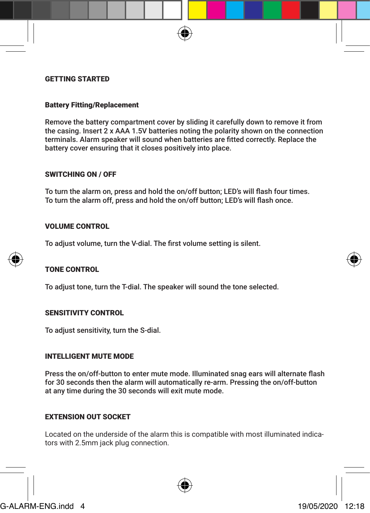#### GETTING STARTED

# Battery Fitting/Replacement

Remove the battery compartment cover by sliding it carefully down to remove it from the casing. Insert 2 x AAA 1.5V batteries noting the polarity shown on the connection terminals. Alarm speaker will sound when batteries are fitted correctly. Replace the battery cover ensuring that it closes positively into place.

#### SWITCHING ON / OFF

To turn the alarm on, press and hold the on/off button; LED's will flash four times. To turn the alarm off, press and hold the on/off button; LED's will flash once.

# VOLUME CONTROL

To adjust volume, turn the V-dial. The first volume setting is silent.

# TONE CONTROL

To adjust tone, turn the T-dial. The speaker will sound the tone selected.

#### SENSITIVITY CONTROL

To adjust sensitivity, turn the S-dial.

## INTELLIGENT MUTE MODE

Press the on/off-button to enter mute mode. Illuminated snag ears will alternate flash for 30 seconds then the alarm will automatically re-arm. Pressing the on/off-button at any time during the 30 seconds will exit mute mode.

# EXTENSION OUT SOCKET

Located on the underside of the alarm this is compatible with most illuminated indicators with 2.5mm jack plug connection.



# G-ALARM-ENG.indd 4 19/05/2020 12:18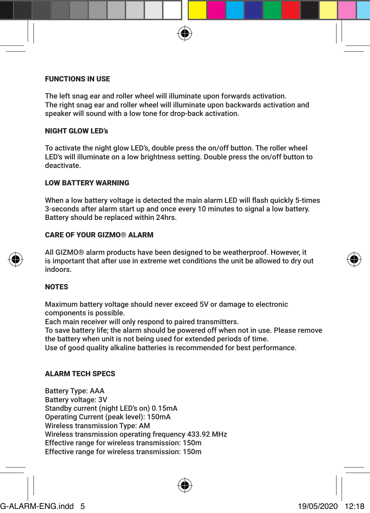# FUNCTIONS IN USE

The left snag ear and roller wheel will illuminate upon forwards activation. The right snag ear and roller wheel will illuminate upon backwards activation and speaker will sound with a low tone for drop-back activation.

# NIGHT GLOW LED's

To activate the night glow LED's, double press the on/off button. The roller wheel LED's will illuminate on a low brightness setting. Double press the on/off button to deactivate.

# LOW BATTERY WARNING

When a low battery voltage is detected the main alarm LED will flash quickly 5-times 3-seconds after alarm start up and once every 10 minutes to signal a low battery. Battery should be replaced within 24hrs.

# CARE OF YOUR GIZMO® ALARM

All GIZMO® alarm products have been designed to be weatherproof. However, it is important that after use in extreme wet conditions the unit be allowed to dry out indoors.

# NOTES

Maximum battery voltage should never exceed 5V or damage to electronic components is possible.

Each main receiver will only respond to paired transmitters.

To save battery life; the alarm should be powered off when not in use. Please remove the battery when unit is not being used for extended periods of time.

Use of good quality alkaline batteries is recommended for best performance.

# ALARM TECH SPECS

Battery Type: AAA Battery voltage: 3V Standby current (night LED's on) 0.15mA Operating Current (peak level): 150mA Wireless transmission Type: AM Wireless transmission operating frequency 433.92 MHz Effective range for wireless transmission: 150m Effective range for wireless transmission: 150m

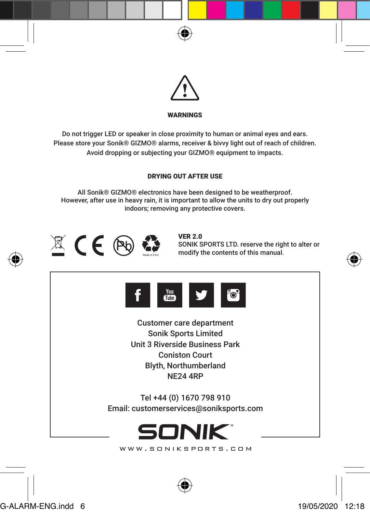



# WARNINGS

Do not trigger LED or speaker in close proximity to human or animal eyes and ears. Please store your Sonik® GIZMO® alarms, receiver & bivvy light out of reach of children. Avoid dropping or subjecting your GIZMO® equipment to impacts.

# DRYING OUT AFTER USE

All Sonik® GIZMO® electronics have been designed to be weatherproof. However, after use in heavy rain, it is important to allow the units to dry out properly indoors; removing any protective covers.



VER 2.0 SONIK SPORTS LTD. reserve the right to alter or modify the contents of this manual.





Customer care department Sonik Sports Limited Unit 3 Riverside Business Park Coniston Court Blyth, Northumberland NE24 4RP

Tel +44 (0) 1670 798 910 Email: customerservices@soniksports.com



WWW.SONIKSPORTS.COM



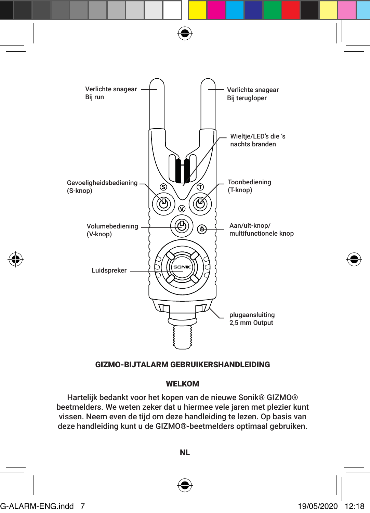



# WELKOM

Hartelijk bedankt voor het kopen van de nieuwe Sonik® GIZMO® beetmelders. We weten zeker dat u hiermee vele jaren met plezier kunt vissen. Neem even de tijd om deze handleiding te lezen. Op basis van deze handleiding kunt u de GIZMO®-beetmelders optimaal gebruiken.

NL



G-ALARM-ENG.indd 7 19/05/2020 12:18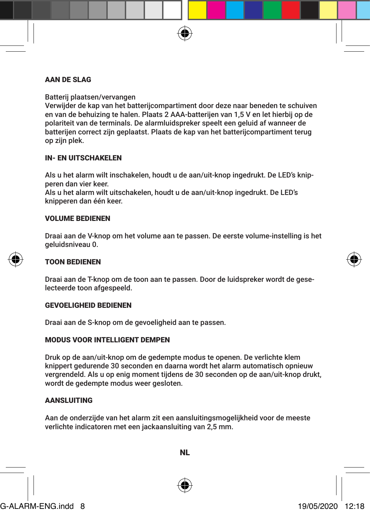# AAN DE SLAG

Batterij plaatsen/vervangen

Verwijder de kap van het batterijcompartiment door deze naar beneden te schuiven en van de behuizing te halen. Plaats 2 AAA-batterijen van 1,5 V en let hierbij op de polariteit van de terminals. De alarmluidspreker speelt een geluid af wanneer de batterijen correct zijn geplaatst. Plaats de kap van het batterijcompartiment terug op zijn plek.

# IN- EN UITSCHAKELEN

Als u het alarm wilt inschakelen, houdt u de aan/uit-knop ingedrukt. De LED's knipperen dan vier keer.

Als u het alarm wilt uitschakelen, houdt u de aan/uit-knop ingedrukt. De LED's knipperen dan één keer.

# VOLUME BEDIENEN

Draai aan de V-knop om het volume aan te passen. De eerste volume-instelling is het geluidsniveau 0.

#### TOON BEDIENEN

Draai aan de T-knop om de toon aan te passen. Door de luidspreker wordt de geselecteerde toon afgespeeld.

#### GEVOELIGHEID BEDIENEN

Draai aan de S-knop om de gevoeligheid aan te passen.

# MODUS VOOR INTELLIGENT DEMPEN

Druk op de aan/uit-knop om de gedempte modus te openen. De verlichte klem knippert gedurende 30 seconden en daarna wordt het alarm automatisch opnieuw vergrendeld. Als u op enig moment tijdens de 30 seconden op de aan/uit-knop drukt, wordt de gedempte modus weer gesloten.

# **AANSLUITING**

Aan de onderzijde van het alarm zit een aansluitingsmogelijkheid voor de meeste verlichte indicatoren met een jackaansluiting van 2,5 mm.





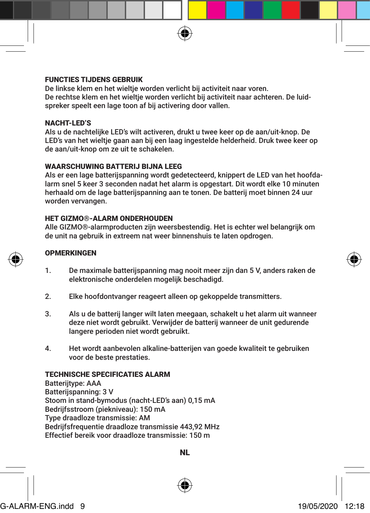# FUNCTIES TIJDENS GEBRUIK

De linkse klem en het wieltje worden verlicht bij activiteit naar voren. De rechtse klem en het wieltje worden verlicht bij activiteit naar achteren. De luidspreker speelt een lage toon af bij activering door vallen.

#### NACHT-LED'S

Als u de nachtelijke LED's wilt activeren, drukt u twee keer op de aan/uit-knop. De LED's van het wieltje gaan aan bij een laag ingestelde helderheid. Druk twee keer op de aan/uit-knop om ze uit te schakelen.

# WAARSCHUWING BATTERIJ BIJNA LEEG

Als er een lage batterijspanning wordt gedetecteerd, knippert de LED van het hoofdalarm snel 5 keer 3 seconden nadat het alarm is opgestart. Dit wordt elke 10 minuten herhaald om de lage batterijspanning aan te tonen. De batterij moet binnen 24 uur worden vervangen.

#### HET GIZMO®-ALARM ONDERHOUDEN

Alle GIZMO®-alarmproducten zijn weersbestendig. Het is echter wel belangrijk om de unit na gebruik in extreem nat weer binnenshuis te laten opdrogen.

#### **OPMERKINGEN**

- 1. De maximale batterijspanning mag nooit meer zijn dan 5 V, anders raken de elektronische onderdelen mogelijk beschadigd.
- 2. Elke hoofdontvanger reageert alleen op gekoppelde transmitters.
- 3. Als u de batterij langer wilt laten meegaan, schakelt u het alarm uit wanneer deze niet wordt gebruikt. Verwijder de batterij wanneer de unit gedurende langere perioden niet wordt gebruikt.
- 4. Het wordt aanbevolen alkaline-batterijen van goede kwaliteit te gebruiken voor de beste prestaties.

# TECHNISCHE SPECIFICATIES ALARM

Batteriitype: AAA Batterijspanning: 3 V Stoom in stand-bymodus (nacht-LED's aan) 0,15 mA Bedrijfsstroom (piekniveau): 150 mA Type draadloze transmissie: AM Bedrijfsfrequentie draadloze transmissie 443,92 MHz Effectief bereik voor draadloze transmissie: 150 m

NL



G-ALARM-ENG.indd 9 19/05/2020 12:18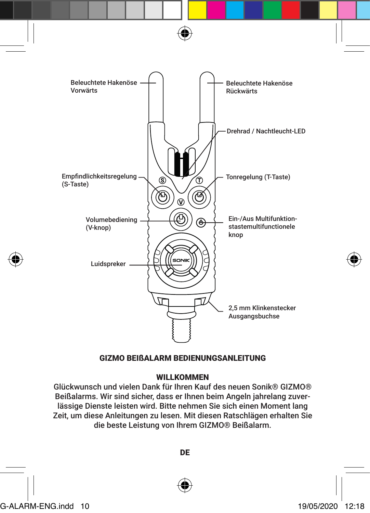

# GIZMO BEIßALARM BEDIENUNGSANLEITUNG

# **WILLKOMMEN**

Glückwunsch und vielen Dank für Ihren Kauf des neuen Sonik® GIZMO® Beißalarms. Wir sind sicher, dass er Ihnen beim Angeln jahrelang zuverlässige Dienste leisten wird. Bitte nehmen Sie sich einen Moment lang Zeit, um diese Anleitungen zu lesen. Mit diesen Ratschlägen erhalten Sie die beste Leistung von Ihrem GIZMO® Beißalarm.

G-ALARM-ENG.indd 10 19/05/2020 12:18

DE

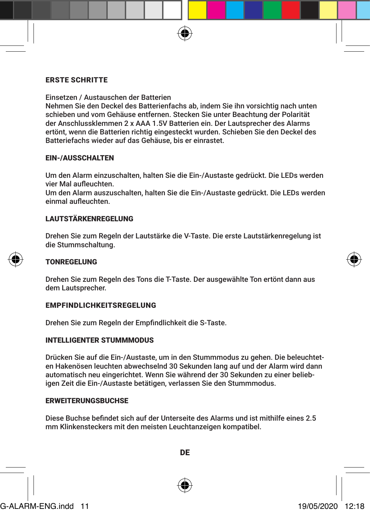# ERSTE SCHRITTE

Einsetzen / Austauschen der Batterien

Nehmen Sie den Deckel des Batterienfachs ab, indem Sie ihn vorsichtig nach unten schieben und vom Gehäuse entfernen. Stecken Sie unter Beachtung der Polarität der Anschlussklemmen 2 x AAA 1.5V Batterien ein. Der Lautsprecher des Alarms ertönt, wenn die Batterien richtig eingesteckt wurden. Schieben Sie den Deckel des Batteriefachs wieder auf das Gehäuse, bis er einrastet.

# EIN-/AUSSCHALTEN

Um den Alarm einzuschalten, halten Sie die Ein-/Austaste gedrückt. Die LEDs werden vier Mal aufleuchten.

Um den Alarm auszuschalten, halten Sie die Ein-/Austaste gedrückt. Die LEDs werden einmal aufleuchten.

#### LAUTSTÄRKENREGELUNG

Drehen Sie zum Regeln der Lautstärke die V-Taste. Die erste Lautstärkenregelung ist die Stummschaltung.

#### TONREGELUNG

Drehen Sie zum Regeln des Tons die T-Taste. Der ausgewählte Ton ertönt dann aus dem Lautsprecher.

#### EMPFINDLICHKEITSREGELUNG

Drehen Sie zum Regeln der Empfindlichkeit die S-Taste.

#### INTELLIGENTER STUMMMODUS

Drücken Sie auf die Ein-/Austaste, um in den Stummmodus zu gehen. Die beleuchteten Hakenösen leuchten abwechselnd 30 Sekunden lang auf und der Alarm wird dann automatisch neu eingerichtet. Wenn Sie während der 30 Sekunden zu einer beliebigen Zeit die Ein-/Austaste betätigen, verlassen Sie den Stummmodus.

#### **ERWEITERUNGSBUCHSE**

Diese Buchse befindet sich auf der Unterseite des Alarms und ist mithilfe eines 2.5 mm Klinkensteckers mit den meisten Leuchtanzeigen kompatibel.

DE

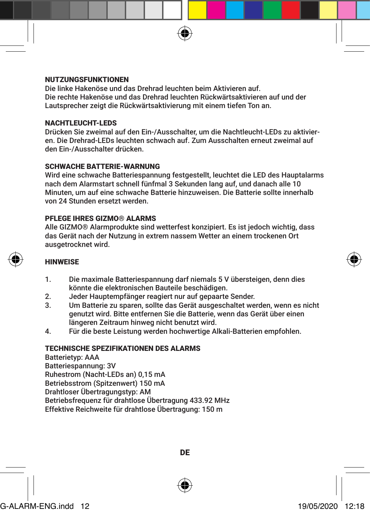# **NUTZUNGSFUNKTIONEN**

Die linke Hakenöse und das Drehrad leuchten beim Aktivieren auf. Die rechte Hakenöse und das Drehrad leuchten Rückwärtsaktivieren auf und der Lautsprecher zeigt die Rückwärtsaktivierung mit einem tiefen Ton an.

# NACHTLEUCHT-LEDS

Drücken Sie zweimal auf den Ein-/Ausschalter, um die Nachtleucht-LEDs zu aktivieren. Die Drehrad-LEDs leuchten schwach auf. Zum Ausschalten erneut zweimal auf den Ein-/Ausschalter drücken.

# SCHWACHE BATTERIE-WARNUNG

Wird eine schwache Batteriespannung festgestellt, leuchtet die LED des Hauptalarms nach dem Alarmstart schnell fünfmal 3 Sekunden lang auf, und danach alle 10 Minuten, um auf eine schwache Batterie hinzuweisen. Die Batterie sollte innerhalb von 24 Stunden ersetzt werden.

# PFLEGE IHRES GIZMO® ALARMS

Alle GIZMO® Alarmprodukte sind wetterfest konzipiert. Es ist jedoch wichtig, dass das Gerät nach der Nutzung in extrem nassem Wetter an einem trockenen Ort ausgetrocknet wird.

#### **HINWEISE**

- 1. Die maximale Batteriespannung darf niemals 5 V übersteigen, denn dies könnte die elektronischen Bauteile beschädigen.
- 2. Jeder Hauptempfänger reagiert nur auf gepaarte Sender.
- 3. Um Batterie zu sparen, sollte das Gerät ausgeschaltet werden, wenn es nicht genutzt wird. Bitte entfernen Sie die Batterie, wenn das Gerät über einen längeren Zeitraum hinweg nicht benutzt wird.
- 4. Für die beste Leistung werden hochwertige Alkali-Batterien empfohlen.

# TECHNISCHE SPEZIFIKATIONEN DES ALARMS

Batterietyp: AAA Batteriespannung: 3V Ruhestrom (Nacht-LEDs an) 0,15 mA Betriebsstrom (Spitzenwert) 150 mA Drahtloser Übertragungstyp: AM Betriebsfrequenz für drahtlose Übertragung 433.92 MHz Effektive Reichweite für drahtlose Übertragung: 150 m

DE



# G-ALARM-ENG.indd 12 19/05/2020 12:18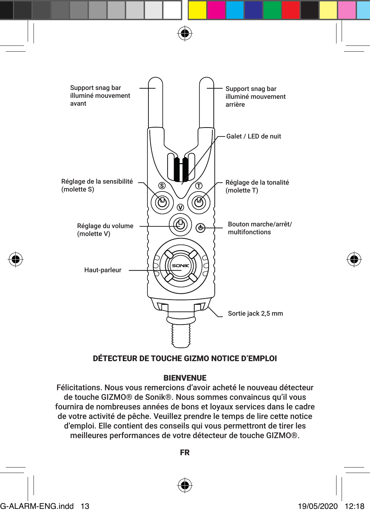

# DÉTECTEUR DE TOUCHE GIZMO NOTICE D'EMPLOI

# BIENVENUE

Félicitations. Nous vous remercions d'avoir acheté le nouveau détecteur de touche GIZMO® de Sonik®. Nous sommes convaincus qu'il vous fournira de nombreuses années de bons et loyaux services dans le cadre de votre activité de pêche. Veuillez prendre le temps de lire cette notice d'emploi. Elle contient des conseils qui vous permettront de tirer les meilleures performances de votre détecteur de touche GIZMO®.

FR

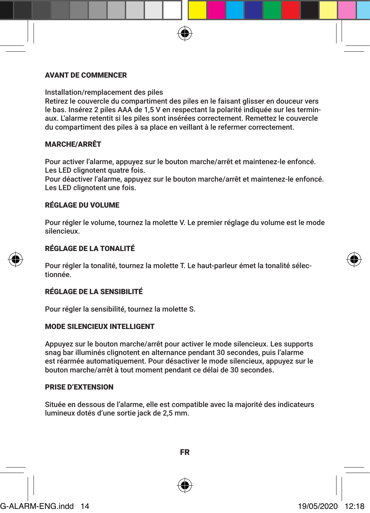# AVANT DE COMMENCER

Installation/remplacement des piles

Retirez le couvercle du compartiment des piles en le faisant glisser en douceur vers le bas. Insérez 2 piles AAA de 1,5 V en respectant la polarité indiquée sur les terminaux. L'alarme retentit si les piles sont insérées correctement. Remettez le couvercle du compartiment des piles à sa place en veillant à le refermer correctement.

# MARCHE/ARRÊT

Pour activer l'alarme, appuyez sur le bouton marche/arrêt et maintenez-le enfoncé. Les LED clignotent quatre fois.

Pour déactiver l'alarme, appuyez sur le bouton marche/arrêt et maintenez-le enfoncé. Les LED clignotent une fois.

# RÉGLAGE DU VOLUME

Pour régler le volume, tournez la molette V. Le premier réglage du volume est le mode silencieux.



# RÉGLAGE DE LA TONALITÉ

Pour régler la tonalité, tournez la molette T. Le haut-parleur émet la tonalité sélectionnée.

# RÉGLAGE DE LA SENSIBILITÉ

Pour régler la sensibilité, tournez la molette S.

#### MODE SILENCIEUX INTELLIGENT

Appuyez sur le bouton marche/arrêt pour activer le mode silencieux. Les supports snag bar illuminés clignotent en alternance pendant 30 secondes, puis l'alarme est réarmée automatiquement. Pour désactiver le mode silencieux, appuyez sur le bouton marche/arrêt à tout moment pendant ce délai de 30 secondes.

# PRISE D'EXTENSION

Située en dessous de l'alarme, elle est compatible avec la majorité des indicateurs lumineux dotés d'une sortie jack de 2,5 mm.





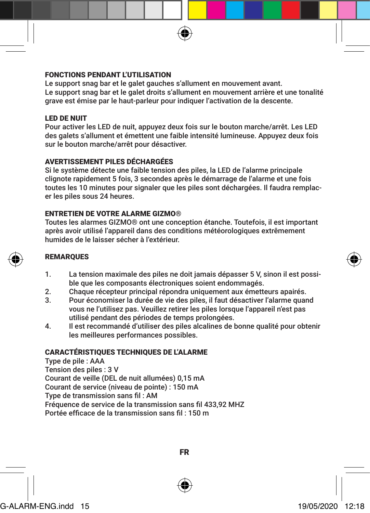# FONCTIONS PENDANT L'UTILISATION

Le support snag bar et le galet gauches s'allument en mouvement avant. Le support snag bar et le galet droits s'allument en mouvement arrière et une tonalité grave est émise par le haut-parleur pour indiquer l'activation de la descente.

# LED DE NUIT

Pour activer les LED de nuit, appuyez deux fois sur le bouton marche/arrêt. Les LED des galets s'allument et émettent une faible intensité lumineuse. Appuyez deux fois sur le bouton marche/arrêt pour désactiver.

# AVERTISSEMENT PILES DÉCHARGÉES

Si le système détecte une faible tension des piles, la LED de l'alarme principale clignote rapidement 5 fois, 3 secondes après le démarrage de l'alarme et une fois toutes les 10 minutes pour signaler que les piles sont déchargées. Il faudra remplacer les piles sous 24 heures.

# ENTRETIEN DE VOTRE ALARME GIZMO®

Toutes les alarmes GIZMO® ont une conception étanche. Toutefois, il est important après avoir utilisé l'appareil dans des conditions météorologiques extrêmement humides de le laisser sécher à l'extérieur.

# REMARQUES

- 1. La tension maximale des piles ne doit jamais dépasser 5 V, sinon il est possible que les composants électroniques soient endommagés.
- 2. Chaque récepteur principal répondra uniquement aux émetteurs apairés.<br>3. Pour économiser la durée de vie des piles, il faut désactiver l'alarme quai
- Pour économiser la durée de vie des piles, il faut désactiver l'alarme quand vous ne l'utilisez pas. Veuillez retirer les piles lorsque l'appareil n'est pas utilisé pendant des périodes de temps prolongées.
- 4. Il est recommandé d'utiliser des piles alcalines de bonne qualité pour obtenir les meilleures performances possibles.

# CARACTÉRISTIQUES TECHNIQUES DE L'ALARME

Type de pile : AAA Tension des piles : 3 V Courant de veille (DEL de nuit allumées) 0,15 mA Courant de service (niveau de pointe) : 150 mA Type de transmission sans fil : AM Fréquence de service de la transmission sans fil 433,92 MHZ Portée efficace de la transmission sans fil : 150 m







G-ALARM-ENG.indd 15 19/05/2020 12:18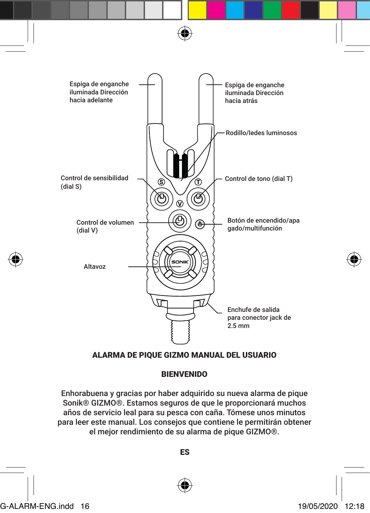

# ALARMA DE PIQUE GIZMO MANUAL DEL USUARIO

# BIENVENIDO

Enhorabuena y gracias por haber adquirido su nueva alarma de pique Sonik® GIZMO®. Estamos seguros de que le proporcionará muchos años de servicio leal para su pesca con caña. Tómese unos minutos para leer este manual. Los consejos que contiene le permitirán obtener el mejor rendimiento de su alarma de pique GIZMO®.

ES

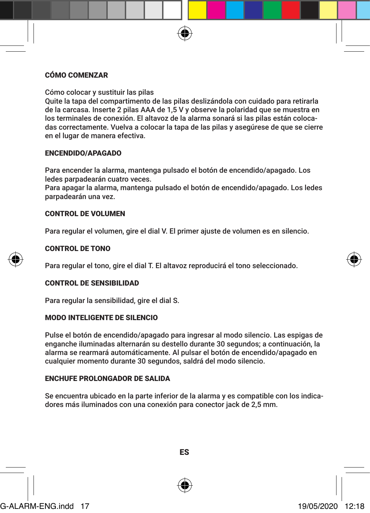# CÓMO COMENZAR

Cómo colocar y sustituir las pilas

Quite la tapa del compartimento de las pilas deslizándola con cuidado para retirarla de la carcasa. Inserte 2 pilas AAA de 1,5 V y observe la polaridad que se muestra en los terminales de conexión. El altavoz de la alarma sonará si las pilas están colocadas correctamente. Vuelva a colocar la tapa de las pilas y asegúrese de que se cierre en el lugar de manera efectiva.

# ENCENDIDO/APAGADO

Para encender la alarma, mantenga pulsado el botón de encendido/apagado. Los ledes parpadearán cuatro veces. Para apagar la alarma, mantenga pulsado el botón de encendido/apagado. Los ledes

parpadearán una vez.

# CONTROL DE VOLUMEN

Para regular el volumen, gire el dial V. El primer ajuste de volumen es en silencio.



# CONTROL DE TONO

Para regular el tono, gire el dial T. El altavoz reproducirá el tono seleccionado.

# CONTROL DE SENSIBILIDAD

Para regular la sensibilidad, gire el dial S.

# MODO INTELIGENTE DE SILENCIO

Pulse el botón de encendido/apagado para ingresar al modo silencio. Las espigas de enganche iluminadas alternarán su destello durante 30 segundos; a continuación, la alarma se rearmará automáticamente. Al pulsar el botón de encendido/apagado en cualquier momento durante 30 segundos, saldrá del modo silencio.

# ENCHUFE PROLONGADOR DE SALIDA

Se encuentra ubicado en la parte inferior de la alarma y es compatible con los indicadores más iluminados con una conexión para conector jack de 2,5 mm.



ES

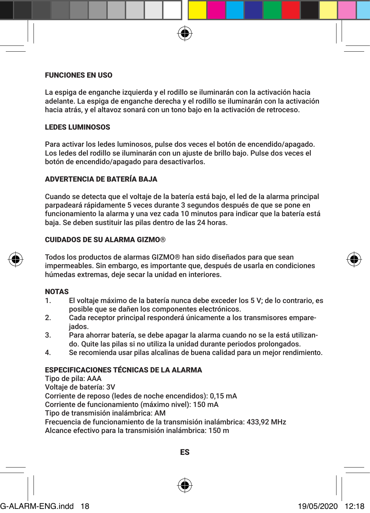# FUNCIONES EN USO

La espiga de enganche izquierda y el rodillo se iluminarán con la activación hacia adelante. La espiga de enganche derecha y el rodillo se iluminarán con la activación hacia atrás, y el altavoz sonará con un tono bajo en la activación de retroceso.

# LEDES LUMINOSOS

Para activar los ledes luminosos, pulse dos veces el botón de encendido/apagado. Los ledes del rodillo se iluminarán con un ajuste de brillo bajo. Pulse dos veces el botón de encendido/apagado para desactivarlos.

# ADVERTENCIA DE BATERÍA BAJA

Cuando se detecta que el voltaje de la batería está bajo, el led de la alarma principal parpadeará rápidamente 5 veces durante 3 segundos después de que se pone en funcionamiento la alarma y una vez cada 10 minutos para indicar que la batería está baja. Se deben sustituir las pilas dentro de las 24 horas.

# CUIDADOS DE SU ALARMA GIZMO®

Todos los productos de alarmas GIZMO® han sido diseñados para que sean impermeables. Sin embargo, es importante que, después de usarla en condiciones húmedas extremas, deje secar la unidad en interiores.

# NOTAS

- 1. El voltaje máximo de la batería nunca debe exceder los 5 V; de lo contrario, es posible que se dañen los componentes electrónicos.
- 2. Cada receptor principal responderá únicamente a los transmisores empareiados.
- 3. Para ahorrar batería, se debe apagar la alarma cuando no se la está utilizando. Quite las pilas si no utiliza la unidad durante periodos prolongados.
- 4. Se recomienda usar pilas alcalinas de buena calidad para un mejor rendimiento.

# ESPECIFICACIONES TÉCNICAS DE LA ALARMA

Tipo de pila: AAA Voltaje de batería: 3V Corriente de reposo (ledes de noche encendidos): 0,15 mA Corriente de funcionamiento (máximo nivel): 150 mA Tipo de transmisión inalámbrica: AM Frecuencia de funcionamiento de la transmisión inalámbrica: 433,92 MHz Alcance efectivo para la transmisión inalámbrica: 150 m



ES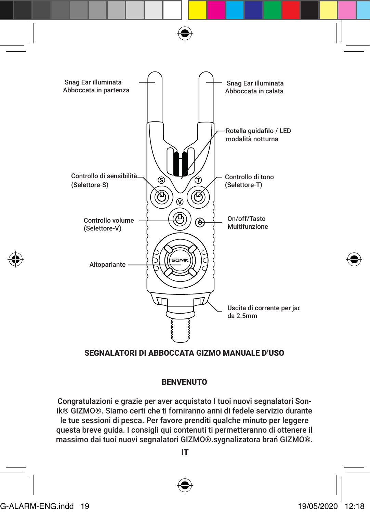

# SEGNALATORI DI ABBOCCATA GIZMO MANUALE D'USO

# BENVENUTO

Congratulazioni e grazie per aver acquistato I tuoi nuovi segnalatori Sonik® GIZMO®. Siamo certi che ti forniranno anni di fedele servizio durante le tue sessioni di pesca. Per favore prenditi qualche minuto per leggere questa breve guida. I consigli qui contenuti ti permetteranno di ottenere il massimo dai tuoi nuovi segnalatori GIZMO®.sygnalizatora brań GIZMO®.

IT



G-ALARM-ENG.indd 19 19/05/2020 12:18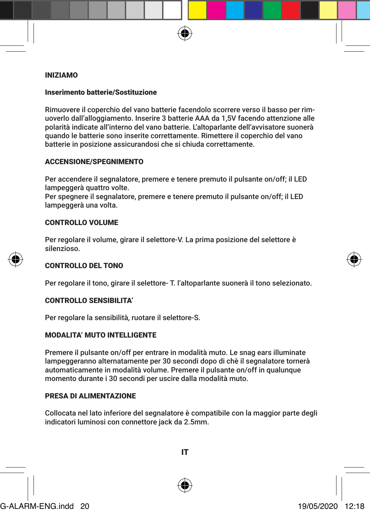#### INIZIAMO

#### Inserimento batterie/Sostituzione

Rimuovere il coperchio del vano batterie facendolo scorrere verso il basso per rimuoverlo dall'alloggiamento. Inserire 3 batterie AAA da 1,5V facendo attenzione alle polarità indicate all'interno del vano batterie. L'altoparlante dell'avvisatore suonerà quando le batterie sono inserite correttamente. Rimettere il coperchio del vano batterie in posizione assicurandosi che si chiuda correttamente.

# ACCENSIONE/SPEGNIMENTO

Per accendere il segnalatore, premere e tenere premuto il pulsante on/off; il LED lampeggerà quattro volte.

Per spegnere il segnalatore, premere e tenere premuto il pulsante on/off; il LED lampeggerà una volta.

#### CONTROLLO VOLUME

Per regolare il volume, girare il selettore-V. La prima posizione del selettore è silenzioso.

#### CONTROLLO DEL TONO

Per regolare il tono, girare il selettore- T. l'altoparlante suonerà il tono selezionato.

# CONTROLLO SENSIBILITA'

Per regolare la sensibilità, ruotare il selettore-S.

# MODALITA' MUTO INTELLIGENTE

Premere il pulsante on/off per entrare in modalità muto. Le snag ears illuminate lampeggeranno alternatamente per 30 secondi dopo di chè il segnalatore tornerà automaticamente in modalità volume. Premere il pulsante on/off in qualunque momento durante i 30 secondi per uscire dalla modalità muto.

# PRESA DI ALIMENTAZIONE

Collocata nel lato inferiore del segnalatore è compatibile con la maggior parte degli indicatori luminosi con connettore jack da 2.5mm.



IT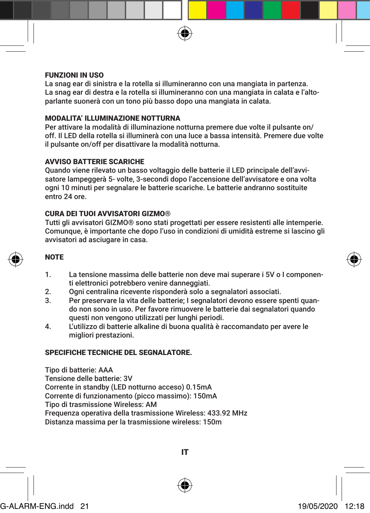

# FUNZIONI IN USO

La snag ear di sinistra e la rotella si illumineranno con una mangiata in partenza. La snag ear di destra e la rotella si illumineranno con una mangiata in calata e l'altoparlante suonerà con un tono più basso dopo una mangiata in calata.

# MODALITA' ILLUMINAZIONE NOTTURNA

Per attivare la modalità di illuminazione notturna premere due volte il pulsante on/ off. Il LED della rotella si illuminerà con una luce a bassa intensità. Premere due volte il pulsante on/off per disattivare la modalità notturna.

# AVVISO BATTERIE SCARICHE

Quando viene rilevato un basso voltaggio delle batterie il LED principale dell'avvisatore lampeggerà 5- volte, 3-secondi dopo l'accensione dell'avvisatore e ona volta ogni 10 minuti per segnalare le batterie scariche. Le batterie andranno sostituite entro 24 ore.

# CURA DEI TUOI AVVISATORI GIZMO®

Tutti gli avvisatori GIZMO® sono stati progettati per essere resistenti alle intemperie. Comunque, è importante che dopo l'uso in condizioni di umidità estreme si lascino gli avvisatori ad asciugare in casa.

# **NOTE**

- 1. La tensione massima delle batterie non deve mai superare i 5V o I componenti elettronici potrebbero venire danneggiati.
- 2. Ogni centralina ricevente risponderà solo a segnalatori associati.<br>3. Per preservare la vita delle batterie: I segnalatori devono essere s
- 3. Per preservare la vita delle batterie; I segnalatori devono essere spenti quando non sono in uso. Per favore rimuovere le batterie dai segnalatori quando questi non vengono utilizzati per lunghi periodi.
- 4. L'utilizzo di batterie alkaline di buona qualità è raccomandato per avere le migliori prestazioni.

# SPECIFICHE TECNICHE DEL SEGNALATORE.

Tipo di batterie: AAA Tensione delle batterie: 3V Corrente in standby (LED notturno acceso) 0.15mA Corrente di funzionamento (picco massimo): 150mA Tipo di trasmissione Wireless: AM Frequenza operativa della trasmissione Wireless: 433.92 MHz Distanza massima per la trasmissione wireless: 150m

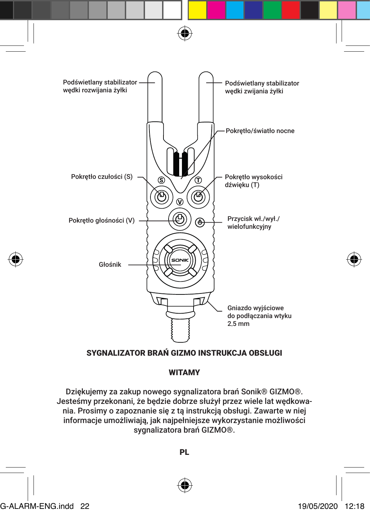

# SYGNALIZATOR BRAŃ GIZMO INSTRUKCJA OBSŁUGI

# WITAMY

Dziękujemy za zakup nowego sygnalizatora brań Sonik® GIZMO®. Jesteśmy przekonani, że będzie dobrze służył przez wiele lat wędkowania. Prosimy o zapoznanie się z tą instrukcją obsługi. Zawarte w niej informacje umożliwiają, jak najpełniejsze wykorzystanie możliwości sygnalizatora brań GIZMO®.

PL



G-ALARM-ENG.indd 22 19/05/2020 12:18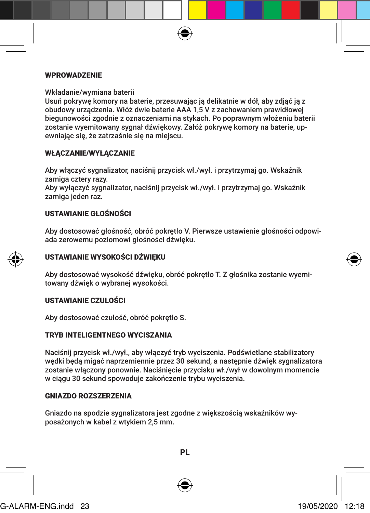#### WPROWADZENIE

Wkładanie/wymiana baterii

Usuń pokrywę komory na baterie, przesuwając ją delikatnie w dół, aby zdjąć ją z obudowy urządzenia. Włóż dwie baterie AAA 1,5 V z zachowaniem prawidłowej biegunowości zgodnie z oznaczeniami na stykach. Po poprawnym włożeniu baterii zostanie wyemitowany sygnał dźwiękowy. Załóż pokrywę komory na baterie, upewniając się, że zatrzaśnie się na miejscu.

# WŁĄCZANIE/WYŁĄCZANIE

Aby włączyć sygnalizator, naciśnij przycisk wł./wył. i przytrzymaj go. Wskaźnik zamiga cztery razy. Aby wyłączyć sygnalizator, naciśnij przycisk wł./wył. i przytrzymaj go. Wskaźnik zamiga jeden raz.

# USTAWIANIE GŁOŚNOŚCI

Aby dostosować głośność, obróć pokrętło V. Pierwsze ustawienie głośności odpowiada zerowemu poziomowi głośności dźwięku.



# USTAWIANIE WYSOKOŚCI DŹWIĘKU

Aby dostosować wysokość dźwięku, obróć pokrętło T. Z głośnika zostanie wyemitowany dźwięk o wybranej wysokości.

# USTAWIANIE CZUŁOŚCI

Aby dostosować czułość, obróć pokrętło S.

#### TRYB INTELIGENTNEGO WYCISZANIA

Naciśnij przycisk wł./wył., aby włączyć tryb wyciszenia. Podświetlane stabilizatory wędki będą migać naprzemiennie przez 30 sekund, a następnie dźwięk sygnalizatora zostanie włączony ponownie. Naciśnięcie przycisku wł./wył w dowolnym momencie w ciągu 30 sekund spowoduje zakończenie trybu wyciszenia.

# GNIAZDO ROZSZERZENIA

Gniazdo na spodzie sygnalizatora jest zgodne z większością wskaźników wyposażonych w kabel z wtykiem 2,5 mm.



G-ALARM-ENG.indd 23 19/05/2020 12:18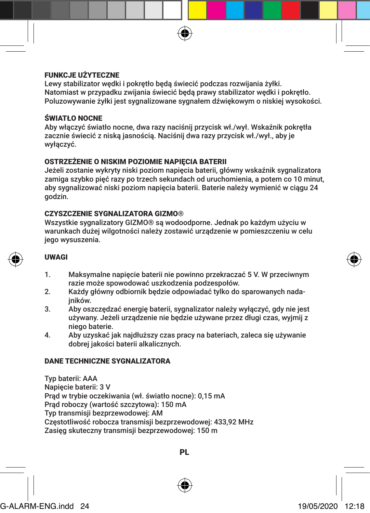# FUNKCJE UŻYTECZNE

Lewy stabilizator wędki i pokrętło będą świecić podczas rozwijania żyłki. Natomiast w przypadku zwijania świecić będą prawy stabilizator wędki i pokrętło. Poluzowywanie żyłki jest sygnalizowane sygnałem dźwiękowym o niskiej wysokości.

# ŚWIATŁO NOCNE

Aby włączyć światło nocne, dwa razy naciśnij przycisk wł./wył. Wskaźnik pokrętła zacznie świecić z niską jasnością. Naciśnij dwa razy przycisk wł./wył., aby je wyłączyć.

# OSTRZEŻENIE O NISKIM POZIOMIE NAPIĘCIA BATERII

Jeżeli zostanie wykryty niski poziom napięcia baterii, główny wskaźnik sygnalizatora zamiga szybko pięć razy po trzech sekundach od uruchomienia, a potem co 10 minut, aby sygnalizować niski poziom napięcia baterii. Baterie należy wymienić w ciągu 24 godzin.

# CZYSZCZENIE SYGNALIZATORA GIZMO®

Wszystkie sygnalizatory GIZMO® są wodoodporne. Jednak po każdym użyciu w warunkach dużej wilgotności należy zostawić urządzenie w pomieszczeniu w celu jego wysuszenia.

# UWAGI

- 1. Maksymalne napięcie baterii nie powinno przekraczać 5 V. W przeciwnym razie może spowodować uszkodzenia podzespołów.
- 2. Każdy główny odbiornik będzie odpowiadać tylko do sparowanych nadajników.
- 3. Aby oszczędzać energię baterii, sygnalizator należy wyłączyć, gdy nie jest używany. Jeżeli urządzenie nie będzie używane przez długi czas, wyjmij z niego baterie.
- 4. Aby uzyskać jak najdłuższy czas pracy na bateriach, zaleca się używanie dobrej jakości baterii alkalicznych.

# DANE TECHNICZNE SYGNALIZATORA

Typ baterii: AAA Napięcie baterii: 3 V Prąd w trybie oczekiwania (wł. światło nocne): 0,15 mA Prąd roboczy (wartość szczytowa): 150 mA Typ transmisji bezprzewodowej: AM Częstotliwość robocza transmisji bezprzewodowej: 433,92 MHz Zasięg skuteczny transmisii bezprzewodowej: 150 m



PL